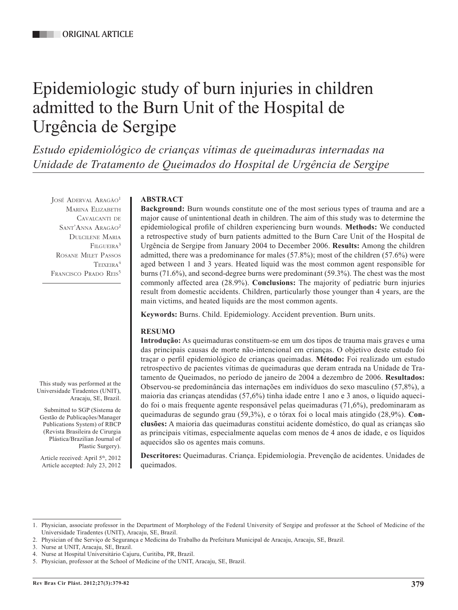# Epidemiologic study of burn injuries in children admitted to the Burn Unit of the Hospital de Urgência de Sergipe

*Estudo epidemiológico de crianças vítimas de queimaduras internadas na Unidade de Tratamento de Queimados do Hospital de Urgência de Sergipe*

JOSÉ ADERVAL ARAGÃO<sup>1</sup> Marina Elizabeth Cavalcanti de SANT'ANNA ARAGÃO<sup>2</sup> Dulcilene Maria FILGUEIRA<sup>3</sup> Rosane Milet Passos TEIXEIRA<sup>4</sup> FRANCISCO PRADO REIS<sup>5</sup>

This study was performed at the Universidade Tiradentes (UNIT),

Submitted to SGP (Sistema de Gestão de Publicações/Manager Publications System) of RBCP (Revista Brasileira de Cirurgia Plástica/Brazilian Journal of

Article received: April 5th, 2012 Article accepted: July 23, 2012

Aracaju, SE, Brazil.

Plastic Surgery).

## **ABSTRACT**

**Background:** Burn wounds constitute one of the most serious types of trauma and are a major cause of unintentional death in children. The aim of this study was to determine the epidemiological profile of children experiencing burn wounds. **Methods:** We conducted a retrospective study of burn patients admitted to the Burn Care Unit of the Hospital de Urgência de Sergipe from January 2004 to December 2006. **Results:** Among the children admitted, there was a predominance for males (57.8%); most of the children (57.6%) were aged between 1 and 3 years. Heated liquid was the most common agent responsible for burns (71.6%), and second-degree burns were predominant (59.3%). The chest was the most commonly affected area (28.9%). **Conclusions:** The majority of pediatric burn injuries result from domestic accidents. Children, particularly those younger than 4 years, are the main victims, and heated liquids are the most common agents.

**Keywords:** Burns. Child. Epidemiology. Accident prevention. Burn units.

## **RESUMO**

**Introdução:** As queimaduras constituem-se em um dos tipos de trauma mais graves e uma das principais causas de morte não-intencional em crianças. O objetivo deste estudo foi traçar o perfil epidemiológico de crianças queimadas. **Método:** Foi realizado um estudo retrospectivo de pacientes vítimas de queimaduras que deram entrada na Unidade de Tratamento de Queimados, no período de janeiro de 2004 a dezembro de 2006. **Resultados:** Observou-se predominância das internações em indivíduos do sexo masculino (57,8%), a maioria das crianças atendidas (57,6%) tinha idade entre 1 ano e 3 anos, o líquido aquecido foi o mais frequente agente responsável pelas queimaduras (71,6%), predominaram as queimaduras de segundo grau (59,3%), e o tórax foi o local mais atingido (28,9%). **Conclusões:** A maioria das queimaduras constitui acidente doméstico, do qual as crianças são as principais vítimas, especialmente aquelas com menos de 4 anos de idade, e os líquidos aquecidos são os agentes mais comuns.

**Descritores:** Queimaduras. Criança. Epidemiologia. Prevenção de acidentes. Unidades de queimados.

<sup>1.</sup> Physician, associate professor in the Department of Morphology of the Federal University of Sergipe and professor at the School of Medicine of the Universidade Tiradentes (UNIT), Aracaju, SE, Brazil.

<sup>2.</sup> Physician of the Serviço de Segurança e Medicina do Trabalho da Prefeitura Municipal de Aracaju, Aracaju, SE, Brazil.

<sup>3.</sup> Nurse at UNIT, Aracaju, SE, Brazil.

<sup>4.</sup> Nurse at Hospital Universitário Cajuru, Curitiba, PR, Brazil.

<sup>5.</sup> Physician, professor at the School of Medicine of the UNIT, Aracaju, SE, Brazil.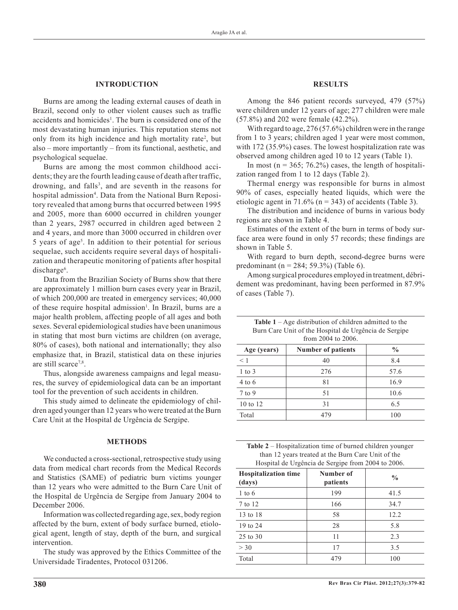#### **INTRODUCTION**

Burns are among the leading external causes of death in Brazil, second only to other violent causes such as traffic accidents and homicides<sup>1</sup>. The burn is considered one of the most devastating human injuries. This reputation stems not only from its high incidence and high mortality rate<sup>2</sup>, but also – more importantly – from its functional, aesthetic, and psychological sequelae.

Burns are among the most common childhood accidents; they are the fourth leading cause of death after traffic, drowning, and falls<sup>3</sup>, and are seventh in the reasons for hospital admission<sup>4</sup>. Data from the National Burn Repository revealed that among burns that occurred between 1995 and 2005, more than 6000 occurred in children younger than 2 years, 2987 occurred in children aged between 2 and 4 years, and more than 3000 occurred in children over 5 years of age<sup>5</sup>. In addition to their potential for serious sequelae, such accidents require several days of hospitalization and therapeutic monitoring of patients after hospital discharge<sup>6</sup>.

Data from the Brazilian Society of Burns show that there are approximately 1 million burn cases every year in Brazil, of which 200,000 are treated in emergency services; 40,000 of these require hospital admission<sup>1</sup>. In Brazil, burns are a major health problem, affecting people of all ages and both sexes. Several epidemiological studies have been unanimous in stating that most burn victims are children (on average, 80% of cases), both national and internationally; they also emphasize that, in Brazil, statistical data on these injuries are still scarce<sup>7,8</sup>.

Thus, alongside awareness campaigns and legal measures, the survey of epidemiological data can be an important tool for the prevention of such accidents in children.

This study aimed to delineate the epidemiology of children aged younger than 12 years who were treated at the Burn Care Unit at the Hospital de Urgência de Sergipe.

### **METHODS**

We conducted a cross-sectional, retrospective study using data from medical chart records from the Medical Records and Statistics (SAME) of pediatric burn victims younger than 12 years who were admitted to the Burn Care Unit of the Hospital de Urgência de Sergipe from January 2004 to December 2006.

Information was collected regarding age, sex, body region affected by the burn, extent of body surface burned, etiological agent, length of stay, depth of the burn, and surgical intervention.

The study was approved by the Ethics Committee of the Universidade Tiradentes, Protocol 031206.

#### **RESULTS**

Among the 846 patient records surveyed, 479 (57%) were children under 12 years of age; 277 children were male (57.8%) and 202 were female (42.2%).

With regard to age, 276 (57.6%) children were in the range from 1 to 3 years; children aged 1 year were most common, with 172 (35.9%) cases. The lowest hospitalization rate was observed among children aged 10 to 12 years (Table 1).

In most ( $n = 365$ ; 76.2%) cases, the length of hospitalization ranged from 1 to 12 days (Table 2).

Thermal energy was responsible for burns in almost 90% of cases, especially heated liquids, which were the etiologic agent in 71.6% ( $n = 343$ ) of accidents (Table 3).

The distribution and incidence of burns in various body regions are shown in Table 4.

Estimates of the extent of the burn in terms of body surface area were found in only 57 records; these findings are shown in Table 5.

With regard to burn depth, second-degree burns were predominant (n = 284; 59.3%) (Table 6).

Among surgical procedures employed in treatment, débridement was predominant, having been performed in 87.9% of cases (Table 7).

| Burn Care Unit of the Hospital de Urgência de Sergipe<br>from 2004 to 2006. |                           |               |
|-----------------------------------------------------------------------------|---------------------------|---------------|
| Age (years)                                                                 | <b>Number of patients</b> | $\frac{0}{0}$ |

| $A\mathbf{g}\mathbf{c}$ (years) | <b>NUMBER OF PARTERS</b> | 70   |
|---------------------------------|--------------------------|------|
| $\leq 1$                        | 40                       | 8.4  |
| $1$ to $3$                      | 276                      | 57.6 |
| $4$ to 6                        | 81                       | 16.9 |
| $7$ to 9                        | 51                       | 10.6 |
| 10 to 12                        | 31                       | 6.5  |
| Total                           | 479                      | 100  |

| <b>Table 2</b> – Hospitalization time of burned children younger |
|------------------------------------------------------------------|
| than 12 years treated at the Burn Care Unit of the               |
| Hospital de Urgência de Sergipe from 2004 to 2006.               |

| <b>Hospitalization time</b><br>(days) | Number of<br>patients | $\frac{0}{0}$ |
|---------------------------------------|-----------------------|---------------|
| $1$ to 6                              | 199                   | 41.5          |
| 7 to 12                               | 166                   | 34.7          |
| 13 to 18                              | 58                    | 12.2          |
| 19 to 24                              | 28                    | 5.8           |
| 25 to 30                              | 11                    | 2.3           |
| $>$ 30                                | 17                    | 3.5           |
| Total                                 | 479                   | 100           |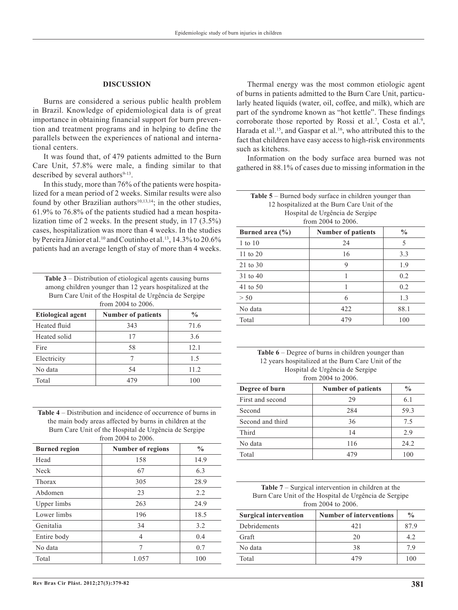#### **DISCUSSION**

Burns are considered a serious public health problem in Brazil. Knowledge of epidemiological data is of great importance in obtaining financial support for burn prevention and treatment programs and in helping to define the parallels between the experiences of national and international centers.

It was found that, of 479 patients admitted to the Burn Care Unit, 57.8% were male, a finding similar to that described by several authors $9-13$ .

In this study, more than 76% of the patients were hospitalized for a mean period of 2 weeks. Similar results were also found by other Brazilian authors<sup>10,13,14</sup>; in the other studies, 61.9% to 76.8% of the patients studied had a mean hospitalization time of 2 weeks. In the present study, in 17 (3.5%) cases, hospitalization was more than 4 weeks. In the studies by Pereira Júnior et al.<sup>10</sup> and Coutinho et al.<sup>13</sup>, 14.3% to 20.6% patients had an average length of stay of more than 4 weeks.

| <b>Table 3</b> – Distribution of etiological agents causing burns |
|-------------------------------------------------------------------|
| among children younger than 12 years hospitalized at the          |
| Burn Care Unit of the Hospital de Urgência de Sergipe             |
| from 2004 to 2006.                                                |

| <b>Etiological agent</b> | <b>Number of patients</b> | $\frac{0}{0}$ |
|--------------------------|---------------------------|---------------|
| Heated fluid             | 343                       | 71.6          |
| Heated solid             | 17                        | 3.6           |
| Fire                     | 58                        | 12.1          |
| Electricity              |                           | 15            |
| No data                  | 54                        | 11.2          |
| Total                    | 479                       | 100           |

| <b>Table 4</b> – Distribution and incidence of occurrence of burns in |  |  |  |
|-----------------------------------------------------------------------|--|--|--|
| the main body areas affected by burns in children at the              |  |  |  |
| Burn Care Unit of the Hospital de Urgência de Sergipe                 |  |  |  |
| from 2004 to 2006.                                                    |  |  |  |

| <b>Burned region</b> | <b>Number of regions</b> | $\frac{0}{0}$ |
|----------------------|--------------------------|---------------|
| Head                 | 158                      | 14.9          |
| Neck                 | 67                       | 6.3           |
| Thorax               | 305                      | 28.9          |
| Abdomen              | 23                       | 2.2           |
| Upper limbs          | 263                      | 24.9          |
| Lower limbs          | 196                      | 18.5          |
| Genitalia            | 34                       | 3.2           |
| Entire body          | 4                        | 0.4           |
| No data              | 7                        | 0.7           |
| Total                | 1.057                    | 100           |

Thermal energy was the most common etiologic agent of burns in patients admitted to the Burn Care Unit, particularly heated liquids (water, oil, coffee, and milk), which are part of the syndrome known as "hot kettle". These findings corroborate those reported by Rossi et al.<sup>7</sup>, Costa et al.<sup>9</sup>, Harada et al.<sup>15</sup>, and Gaspar et al.<sup>16</sup>, who attributed this to the fact that children have easy access to high-risk environments such as kitchens.

Information on the body surface area burned was not gathered in 88.1% of cases due to missing information in the

| Number of nationts<br>$1$ rned area $(0)$<br>$\frac{0}{\alpha}$ |  |  |
|-----------------------------------------------------------------|--|--|
| from 2004 to 2006.                                              |  |  |
| Hospital de Urgência de Sergipe                                 |  |  |
| 12 hospitalized at the Burn Care Unit of the                    |  |  |
| <b>Table 5</b> – Burned body surface in children younger than   |  |  |

| Burned area $(\% )$ | <b>Number of patients</b> | $\frac{0}{0}$ |
|---------------------|---------------------------|---------------|
| $1$ to $10$         | 24                        | 5             |
| 11 to $20$          | 16                        | 3.3           |
| 21 to 30            | Q                         | 1.9           |
| 31 to 40            |                           | 0.2           |
| 41 to 50            |                           | 0.2           |
| > 50                | 6                         | 1.3           |
| No data             | 422                       | 88.1          |
| Total               | 479                       | 100           |

| <b>Table 6</b> – Degree of burns in children younger than |
|-----------------------------------------------------------|
| 12 years hospitalized at the Burn Care Unit of the        |
| Hospital de Urgência de Sergipe                           |
| from 2004 to 2006.                                        |

| Degree of burn   | <b>Number of patients</b> | $\frac{0}{0}$ |
|------------------|---------------------------|---------------|
| First and second | 29                        | 6.1           |
| Second           | 284                       | 59.3          |
| Second and third | 36                        | 75            |
| Third            | 14                        | 2.9           |
| No data          | 116                       | 24.2          |
| Total            | 479                       | 100           |

**Table 7** – Surgical intervention in children at the Burn Care Unit of the Hospital de Urgência de Sergipe from 2004 to 2006.

| <b>Surgical intervention</b> | <b>Number of interventions</b> | $\frac{0}{0}$ |
|------------------------------|--------------------------------|---------------|
| Debridements                 | 421                            | 879           |
| Graft                        | 20                             | 42            |
| No data                      | 38                             | 79            |
| Total                        | 479                            | 100           |